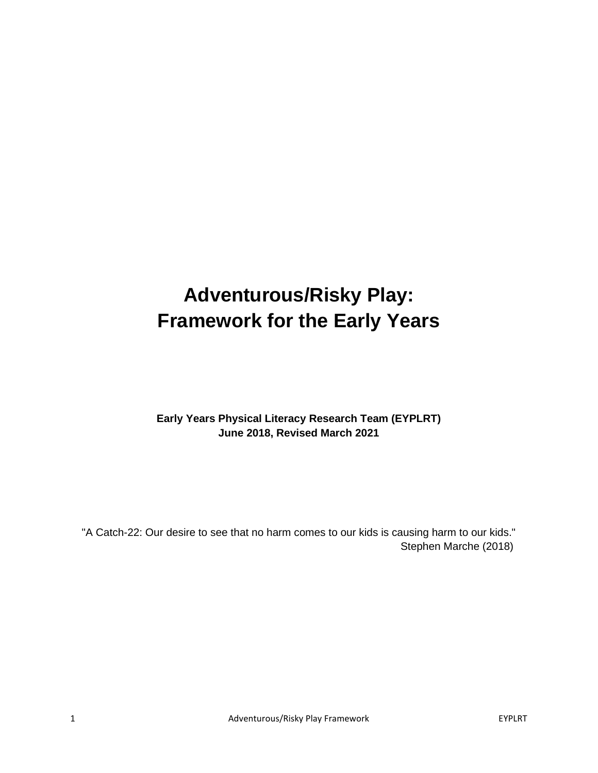# **Adventurous/Risky Play: Framework for the Early Years**

# **Early Years Physical Literacy Research Team (EYPLRT) June 2018, Revised March 2021**

"A Catch-22: Our desire to see that no harm comes to our kids is causing harm to our kids." Stephen Marche (2018)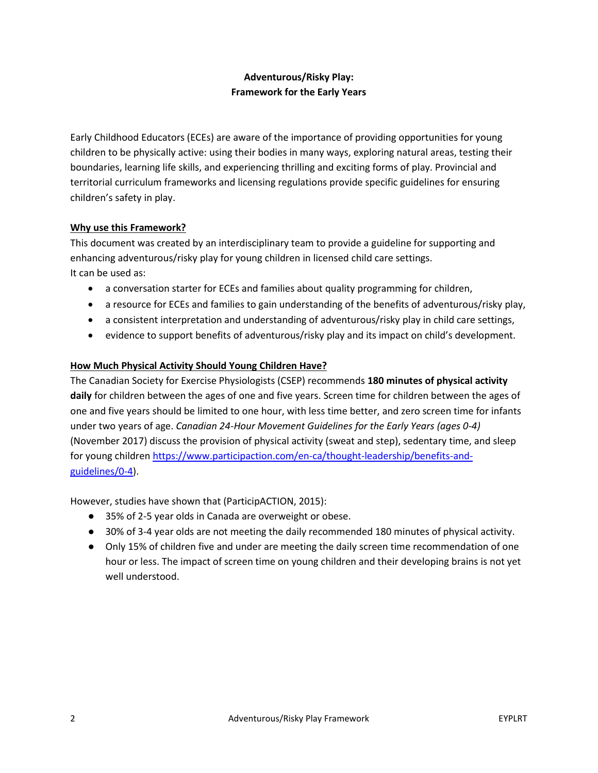# **Adventurous/Risky Play: Framework for the Early Years**

Early Childhood Educators (ECEs) are aware of the importance of providing opportunities for young children to be physically active: using their bodies in many ways, exploring natural areas, testing their boundaries, learning life skills, and experiencing thrilling and exciting forms of play. Provincial and territorial curriculum frameworks and licensing regulations provide specific guidelines for ensuring children's safety in play.

# **Why use this Framework?**

This document was created by an interdisciplinary team to provide a guideline for supporting and enhancing adventurous/risky play for young children in licensed child care settings. It can be used as:

- a conversation starter for ECEs and families about quality programming for children,
- a resource for ECEs and families to gain understanding of the benefits of adventurous/risky play,
- a consistent interpretation and understanding of adventurous/risky play in child care settings,
- evidence to support benefits of adventurous/risky play and its impact on child's development.

# **How Much Physical Activity Should Young Children Have?**

The Canadian Society for Exercise Physiologists (CSEP) recommends **180 minutes of physical activity daily** for children between the ages of one and five years. Screen time for children between the ages of one and five years should be limited to one hour, with less time better, and zero screen time for infants under two years of age. *Canadian 24-Hour Movement Guidelines for the Early Years (ages 0-4)* (November 2017) discuss the provision of physical activity (sweat and step), sedentary time, and sleep for young children [https://www.participaction.com/en-ca/thought-leadership/benefits-and](https://www.participaction.com/en-ca/thought-leadership/benefits-and-guidelines/0-4)[guidelines/0-4\)](https://www.participaction.com/en-ca/thought-leadership/benefits-and-guidelines/0-4).

However, studies have shown that (ParticipACTION, 2015):

- 35% of 2-5 year olds in Canada are overweight or obese.
- 30% of 3-4 year olds are not meeting the daily recommended 180 minutes of physical activity.
- Only 15% of children five and under are meeting the daily screen time recommendation of one hour or less. The impact of screen time on young children and their developing brains is not yet well understood.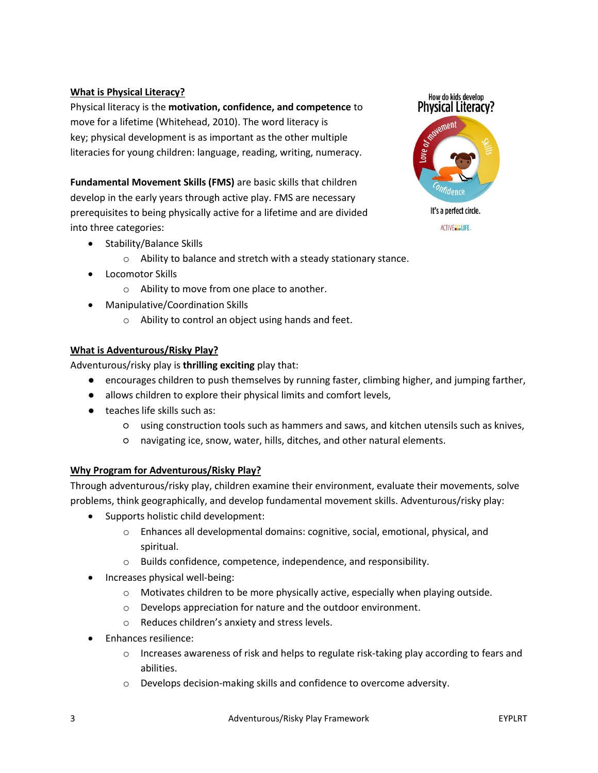## **What is Physical Literacy?**

Physical literacy is the **motivation, confidence, and competence** to move for a lifetime (Whitehead, 2010). The word literacy is key; physical development is as important as the other multiple literacies for young children: language, reading, writing, numeracy.

**Fundamental Movement Skills (FMS)** are basic skills that children develop in the early years through active play. FMS are necessary prerequisites to being physically active for a lifetime and are divided into three categories:

- Stability/Balance Skills
	- o Ability to balance and stretch with a steady stationary stance.
- Locomotor Skills
	- o Ability to move from one place to another.
- Manipulative/Coordination Skills
	- o Ability to control an object using hands and feet.

### **What is Adventurous/Risky Play?**

Adventurous/risky play is **thrilling exciting** play that:

- encourages children to push themselves by running faster, climbing higher, and jumping farther,
- allows children to explore their physical limits and comfort levels,
- teaches life skills such as:
	- using construction tools such as hammers and saws, and kitchen utensils such as knives,
	- navigating ice, snow, water, hills, ditches, and other natural elements.

### **Why Program for Adventurous/Risky Play?**

Through adventurous/risky play, children examine their environment, evaluate their movements, solve problems, think geographically, and develop fundamental movement skills. Adventurous/risky play:

- Supports holistic child development:
	- o Enhances all developmental domains: cognitive, social, emotional, physical, and spiritual.
	- o Builds confidence, competence, independence, and responsibility.
- Increases physical well-being:
	- $\circ$  Motivates children to be more physically active, especially when playing outside.
	- o Develops appreciation for nature and the outdoor environment.
	- o Reduces children's anxiety and stress levels.
- Enhances resilience:
	- $\circ$  Increases awareness of risk and helps to regulate risk-taking play according to fears and abilities.
	- o Develops decision-making skills and confidence to overcome adversity.



**ACTIVE CONLIFE.**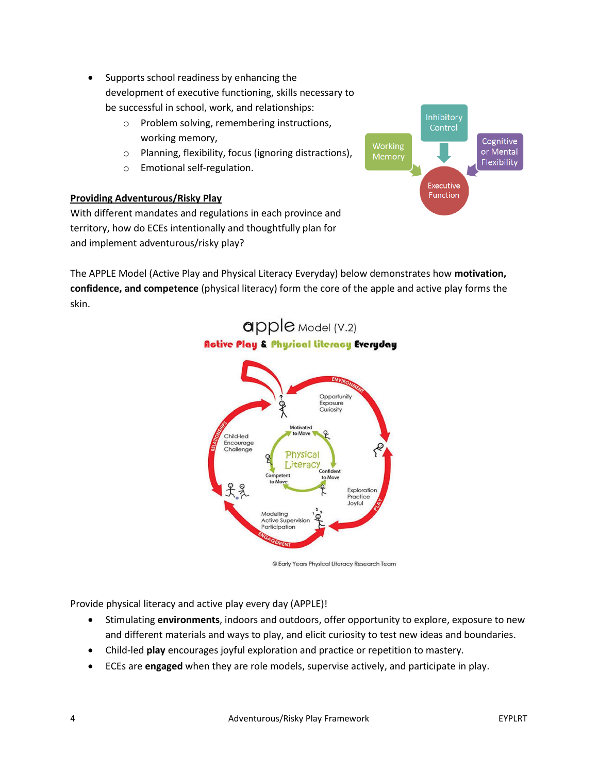- Supports school readiness by enhancing the development of executive functioning, skills necessary to be successful in school, work, and relationships:
	- o Problem solving, remembering instructions, working memory,
	- o Planning, flexibility, focus (ignoring distractions),
	- o Emotional self-regulation.

# **Providing Adventurous/Risky Play**



With different mandates and regulations in each province and territory, how do ECEs intentionally and thoughtfully plan for and implement adventurous/risky play?

The APPLE Model (Active Play and Physical Literacy Everyday) below demonstrates how **motivation, confidence, and competence** (physical literacy) form the core of the apple and active play forms the skin.

apple Model (V.2)



© Early Years Physical Literacy Research Team

Provide physical literacy and active play every day (APPLE)!

- Stimulating **environments**, indoors and outdoors, offer opportunity to explore, exposure to new and different materials and ways to play, and elicit curiosity to test new ideas and boundaries.
- Child-led **play** encourages joyful exploration and practice or repetition to mastery.
- ECEs are **engaged** when they are role models, supervise actively, and participate in play.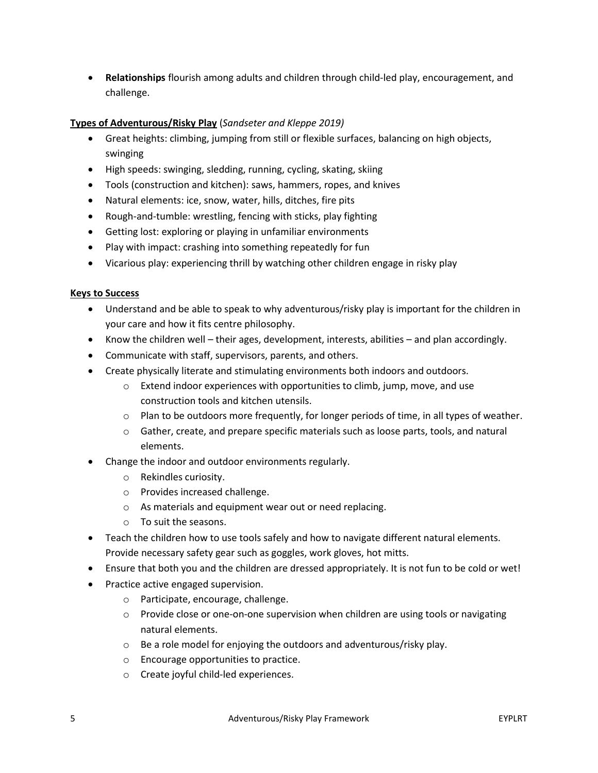• **Relationships** flourish among adults and children through child-led play, encouragement, and challenge.

# **Types of Adventurous/Risky Play** (*Sandseter and Kleppe 2019)*

- Great heights: climbing, jumping from still or flexible surfaces, balancing on high objects, swinging
- High speeds: swinging, sledding, running, cycling, skating, skiing
- Tools (construction and kitchen): saws, hammers, ropes, and knives
- Natural elements: ice, snow, water, hills, ditches, fire pits
- Rough-and-tumble: wrestling, fencing with sticks, play fighting
- Getting lost: exploring or playing in unfamiliar environments
- Play with impact: crashing into something repeatedly for fun
- Vicarious play: experiencing thrill by watching other children engage in risky play

#### **Keys to Success**

- Understand and be able to speak to why adventurous/risky play is important for the children in your care and how it fits centre philosophy.
- Know the children well their ages, development, interests, abilities and plan accordingly.
- Communicate with staff, supervisors, parents, and others.
- Create physically literate and stimulating environments both indoors and outdoors.
	- o Extend indoor experiences with opportunities to climb, jump, move, and use construction tools and kitchen utensils.
	- o Plan to be outdoors more frequently, for longer periods of time, in all types of weather.
	- o Gather, create, and prepare specific materials such as loose parts, tools, and natural elements.
- Change the indoor and outdoor environments regularly.
	- o Rekindles curiosity.
	- o Provides increased challenge.
	- o As materials and equipment wear out or need replacing.
	- o To suit the seasons.
- Teach the children how to use tools safely and how to navigate different natural elements. Provide necessary safety gear such as goggles, work gloves, hot mitts.
- Ensure that both you and the children are dressed appropriately. It is not fun to be cold or wet!
- Practice active engaged supervision.
	- o Participate, encourage, challenge.
	- $\circ$  Provide close or one-on-one supervision when children are using tools or navigating natural elements.
	- o Be a role model for enjoying the outdoors and adventurous/risky play.
	- o Encourage opportunities to practice.
	- o Create joyful child-led experiences.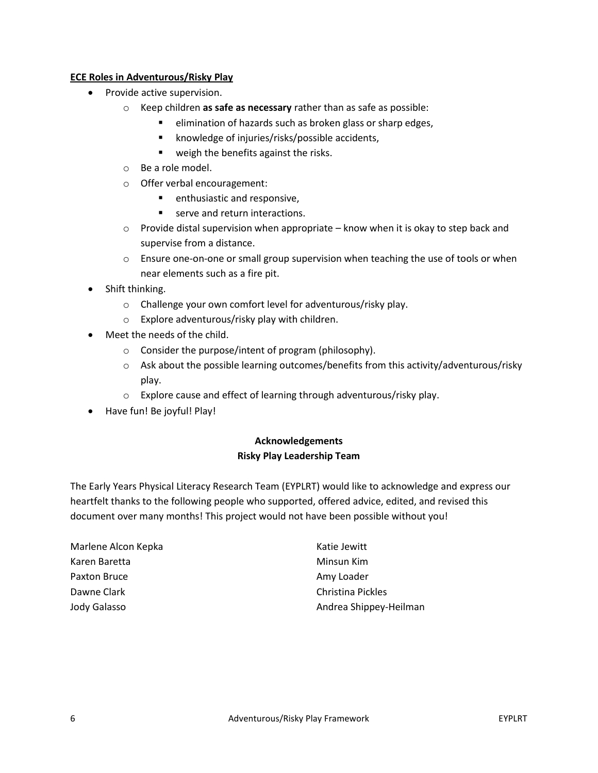## **ECE Roles in Adventurous/Risky Play**

- Provide active supervision.
	- o Keep children **as safe as necessary** rather than as safe as possible:
		- elimination of hazards such as broken glass or sharp edges,
			- knowledge of injuries/risks/possible accidents,
			- weigh the benefits against the risks.
	- o Be a role model.
	- o Offer verbal encouragement:
		- enthusiastic and responsive,
		- serve and return interactions.
	- $\circ$  Provide distal supervision when appropriate know when it is okay to step back and supervise from a distance.
	- o Ensure one-on-one or small group supervision when teaching the use of tools or when near elements such as a fire pit.
- Shift thinking.
	- o Challenge your own comfort level for adventurous/risky play.
	- o Explore adventurous/risky play with children.
- Meet the needs of the child.
	- o Consider the purpose/intent of program (philosophy).
	- o Ask about the possible learning outcomes/benefits from this activity/adventurous/risky play.
	- o Explore cause and effect of learning through adventurous/risky play.
- Have fun! Be joyful! Play!

# **Acknowledgements Risky Play Leadership Team**

The Early Years Physical Literacy Research Team (EYPLRT) would like to acknowledge and express our heartfelt thanks to the following people who supported, offered advice, edited, and revised this document over many months! This project would not have been possible without you!

| Marlene Alcon Kepka | Katie Jewitt           |
|---------------------|------------------------|
| Karen Baretta       | Minsun Kim             |
| Paxton Bruce        | Amy Loader             |
| Dawne Clark         | Christina Pickles      |
| Jody Galasso        | Andrea Shippey-Heilman |